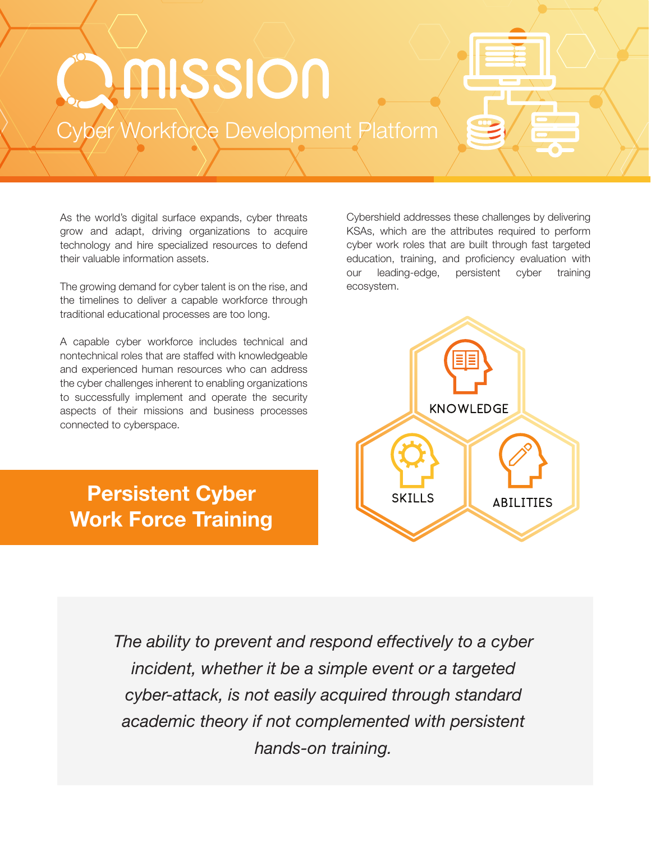# DANSSION

Cyber/Workforce Development Platform

As the world's digital surface expands, cyber threats grow and adapt, driving organizations to acquire technology and hire specialized resources to defend their valuable information assets.

The growing demand for cyber talent is on the rise, and the timelines to deliver a capable workforce through traditional educational processes are too long.

A capable cyber workforce includes technical and nontechnical roles that are staffed with knowledgeable and experienced human resources who can address the cyber challenges inherent to enabling organizations to successfully implement and operate the security aspects of their missions and business processes connected to cyberspace.

Persistent Cyber Work Force Training

Cybershield addresses these challenges by delivering KSAs, which are the attributes required to perform cyber work roles that are built through fast targeted education, training, and proficiency evaluation with our leading-edge, persistent cyber training ecosystem.



*The ability to prevent and respond effectively to a cyber incident, whether it be a simple event or a targeted cyber-attack, is not easily acquired through standard academic theory if not complemented with persistent hands-on training.*